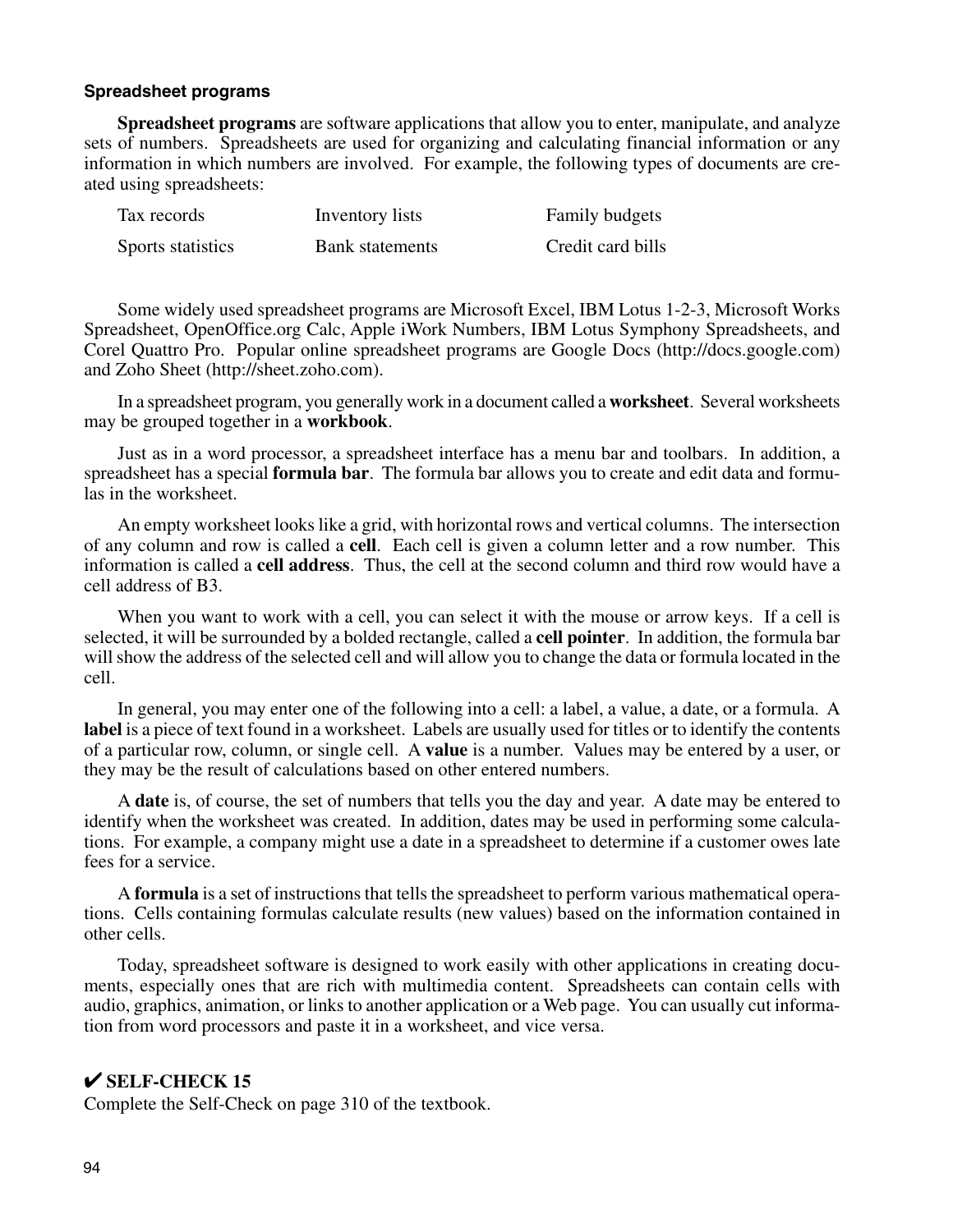# **Spreadsheet programs**

**Spreadsheet programs** are software applications that allow you to enter, manipulate, and analyze sets of numbers. Spreadsheets are used for organizing and calculating financial information or any information in which numbers are involved. For example, the following types of documents are created using spreadsheets:

| Tax records       | Inventory lists        | Family budgets    |
|-------------------|------------------------|-------------------|
| Sports statistics | <b>Bank</b> statements | Credit card bills |

Some widely used spreadsheet programs are Microsoft Excel, IBM Lotus 1-2-3, Microsoft Works Spreadsheet, OpenOffice.org Calc, Apple iWork Numbers, IBM Lotus Symphony Spreadsheets, and Corel Quattro Pro. Popular online spreadsheet programs are Google Docs (http://docs.google.com) and Zoho Sheet (http://sheet.zoho.com).

In a spreadsheet program, you generally work in a document called a **worksheet**. Several worksheets may be grouped together in a **workbook**.

Just as in a word processor, a spreadsheet interface has a menu bar and toolbars. In addition, a spreadsheet has a special **formula bar**. The formula bar allows you to create and edit data and formulas in the worksheet.

An empty worksheet looks like a grid, with horizontal rows and vertical columns. The intersection of any column and row is called a **cell**. Each cell is given a column letter and a row number. This information is called a **cell address**. Thus, the cell at the second column and third row would have a cell address of B3.

When you want to work with a cell, you can select it with the mouse or arrow keys. If a cell is selected, it will be surrounded by a bolded rectangle, called a **cell pointer**. In addition, the formula bar will show the address of the selected cell and will allow you to change the data or formula located in the cell.

In general, you may enter one of the following into a cell: a label, a value, a date, or a formula. A **label** is a piece of text found in a worksheet. Labels are usually used for titles or to identify the contents of a particular row, column, or single cell. A **value** is a number. Values may be entered by a user, or they may be the result of calculations based on other entered numbers.

A **date** is, of course, the set of numbers that tells you the day and year. A date may be entered to identify when the worksheet was created. In addition, dates may be used in performing some calculations. For example, a company might use a date in a spreadsheet to determine if a customer owes late fees for a service.

A **formula** is a set of instructions that tells the spreadsheet to perform various mathematical operations. Cells containing formulas calculate results (new values) based on the information contained in other cells.

Today, spreadsheet software is designed to work easily with other applications in creating documents, especially ones that are rich with multimedia content. Spreadsheets can contain cells with audio, graphics, animation, or links to another application or a Web page. You can usually cut information from word processors and paste it in a worksheet, and vice versa.

# ✔ **SELF-CHECK 15**

Complete the Self-Check on page 310 of the textbook.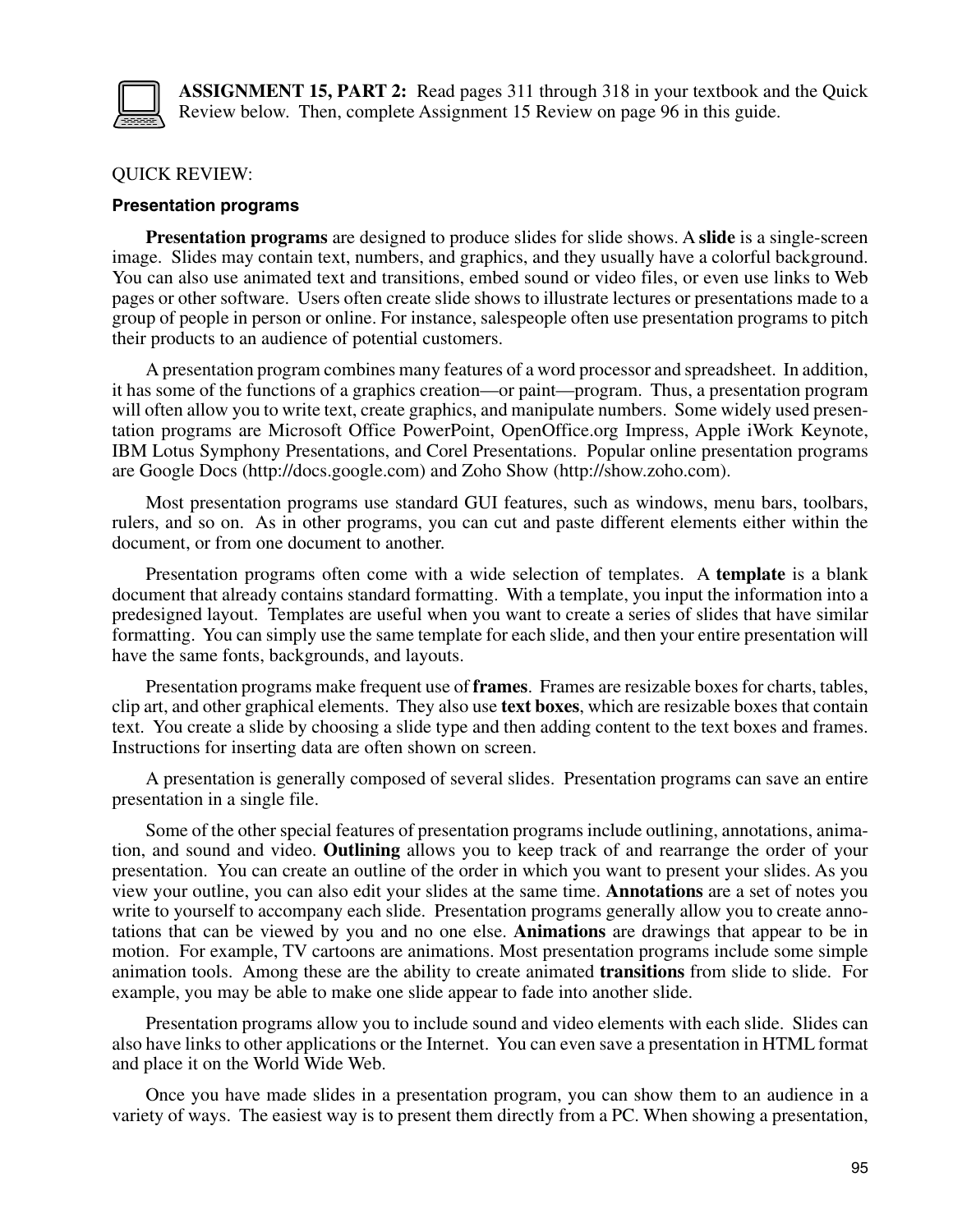

**ASSIGNMENT 15, PART 2:** Read pages 311 through 318 in your textbook and the Quick Review below. Then, complete Assignment 15 Review on page 96 in this guide.

# QUICK REVIEW:

#### **Presentation programs**

**Presentation programs** are designed to produce slides for slide shows. A **slide** is a single-screen image. Slides may contain text, numbers, and graphics, and they usually have a colorful background. You can also use animated text and transitions, embed sound or video files, or even use links to Web pages or other software. Users often create slide shows to illustrate lectures or presentations made to a group of people in person or online. For instance, salespeople often use presentation programs to pitch their products to an audience of potential customers.

A presentation program combines many features of a word processor and spreadsheet. In addition, it has some of the functions of a graphics creation—or paint—program. Thus, a presentation program will often allow you to write text, create graphics, and manipulate numbers. Some widely used presentation programs are Microsoft Office PowerPoint, OpenOffice.org Impress, Apple iWork Keynote, IBM Lotus Symphony Presentations, and Corel Presentations. Popular online presentation programs are Google Docs (http://docs.google.com) and Zoho Show (http://show.zoho.com).

Most presentation programs use standard GUI features, such as windows, menu bars, toolbars, rulers, and so on. As in other programs, you can cut and paste different elements either within the document, or from one document to another.

Presentation programs often come with a wide selection of templates. A **template** is a blank document that already contains standard formatting. With a template, you input the information into a predesigned layout. Templates are useful when you want to create a series of slides that have similar formatting. You can simply use the same template for each slide, and then your entire presentation will have the same fonts, backgrounds, and layouts.

Presentation programs make frequent use of **frames**. Frames are resizable boxes for charts, tables, clip art, and other graphical elements. They also use **text boxes**, which are resizable boxes that contain text. You create a slide by choosing a slide type and then adding content to the text boxes and frames. Instructions for inserting data are often shown on screen.

A presentation is generally composed of several slides. Presentation programs can save an entire presentation in a single file.

Some of the other special features of presentation programs include outlining, annotations, animation, and sound and video. **Outlining** allows you to keep track of and rearrange the order of your presentation. You can create an outline of the order in which you want to present your slides. As you view your outline, you can also edit your slides at the same time. **Annotations** are a set of notes you write to yourself to accompany each slide. Presentation programs generally allow you to create annotations that can be viewed by you and no one else. **Animations** are drawings that appear to be in motion. For example, TV cartoons are animations. Most presentation programs include some simple animation tools. Among these are the ability to create animated **transitions** from slide to slide. For example, you may be able to make one slide appear to fade into another slide.

Presentation programs allow you to include sound and video elements with each slide. Slides can also have links to other applications or the Internet. You can even save a presentation in HTML format and place it on the World Wide Web.

Once you have made slides in a presentation program, you can show them to an audience in a variety of ways. The easiest way is to present them directly from a PC. When showing a presentation,